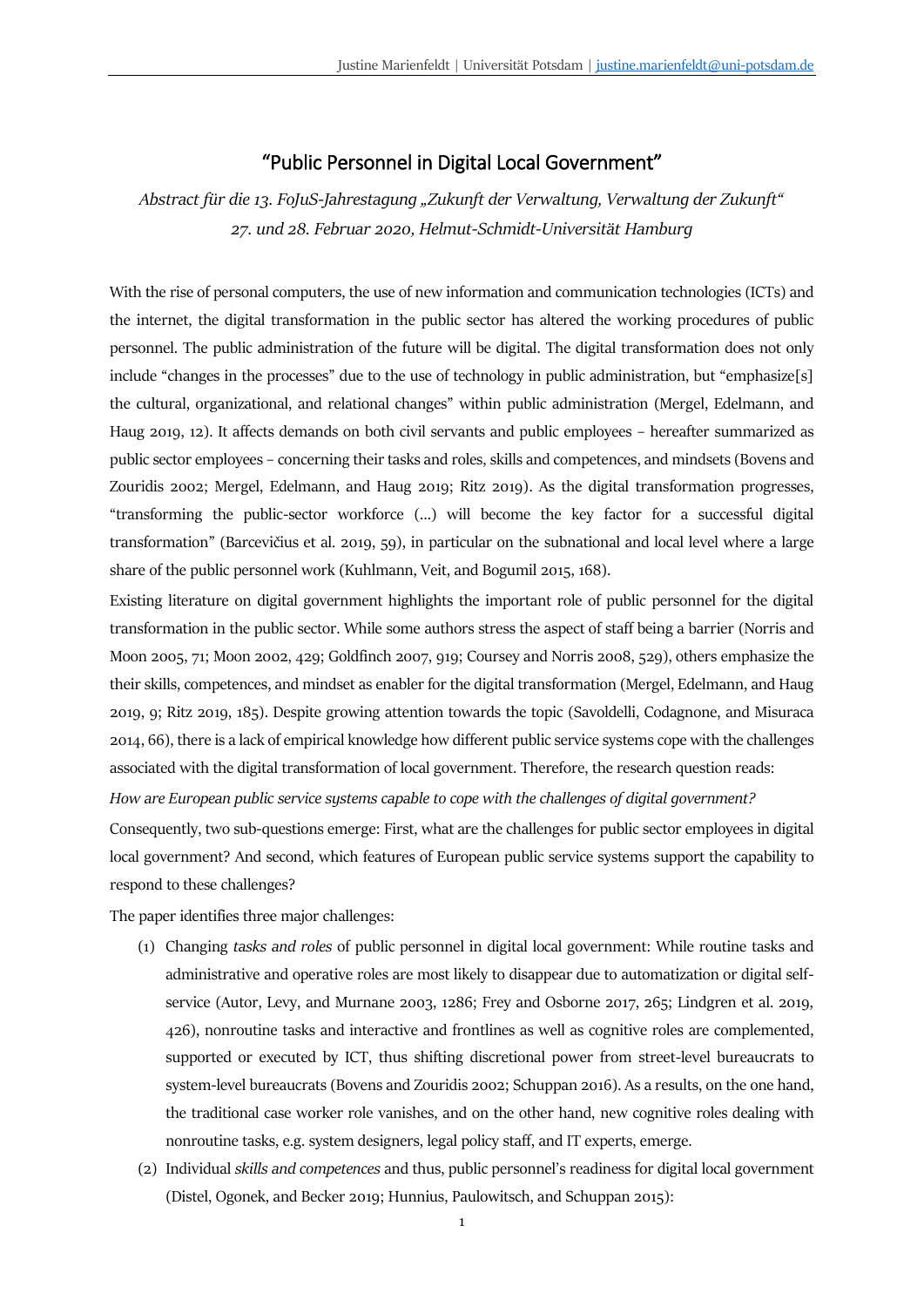## "Public Personnel in Digital Local Government"

*Abstract für die 13. FoJuS-Jahrestagung "Zukunft der Verwaltung, Verwaltung der Zukunft" 27. und 28. Februar 2020, Helmut-Schmidt-Universität Hamburg*

With the rise of personal computers, the use of new information and communication technologies (ICTs) and the internet, the digital transformation in the public sector has altered the working procedures of public personnel. The public administration of the future will be digital. The digital transformation does not only include "changes in the processes" due to the use of technology in public administration, but "emphasize[s] the cultural, organizational, and relational changes" within public administration (Mergel, Edelmann, and Haug 2019, 12). It affects demands on both civil servants and public employees – hereafter summarized as public sector employees – concerning their tasks and roles, skills and competences, and mindsets (Bovens and Zouridis 2002; Mergel, Edelmann, and Haug 2019; Ritz 2019). As the digital transformation progresses, "transforming the public-sector workforce (…) will become the key factor for a successful digital transformation" (Barcevičius et al. 2019, 59), in particular on the subnational and local level where a large share of the public personnel work (Kuhlmann, Veit, and Bogumil 2015, 168).

Existing literature on digital government highlights the important role of public personnel for the digital transformation in the public sector. While some authors stress the aspect of staff being a barrier (Norris and Moon 2005, 71; Moon 2002, 429; Goldfinch 2007, 919; Coursey and Norris 2008, 529), others emphasize the their skills, competences, and mindset as enabler for the digital transformation (Mergel, Edelmann, and Haug 2019, 9; Ritz 2019, 185). Despite growing attention towards the topic (Savoldelli, Codagnone, and Misuraca 2014, 66), there is a lack of empirical knowledge how different public service systems cope with the challenges associated with the digital transformation of local government. Therefore, the research question reads:

*How are European public service systems capable to cope with the challenges of digital government?*

Consequently, two sub-questions emerge: First, what are the challenges for public sector employees in digital local government? And second, which features of European public service systems support the capability to respond to these challenges?

The paper identifies three major challenges:

- (1) Changing *tasks and roles* of public personnel in digital local government: While routine tasks and administrative and operative roles are most likely to disappear due to automatization or digital selfservice (Autor, Levy, and Murnane 2003, 1286; Frey and Osborne 2017, 265; Lindgren et al. 2019, 426), nonroutine tasks and interactive and frontlines as well as cognitive roles are complemented, supported or executed by ICT, thus shifting discretional power from street-level bureaucrats to system-level bureaucrats (Bovens and Zouridis 2002; Schuppan 2016). As a results, on the one hand, the traditional case worker role vanishes, and on the other hand, new cognitive roles dealing with nonroutine tasks, e.g. system designers, legal policy staff, and IT experts, emerge.
- (2) Individual *skills and competences* and thus, public personnel's readiness for digital local government (Distel, Ogonek, and Becker 2019; Hunnius, Paulowitsch, and Schuppan 2015):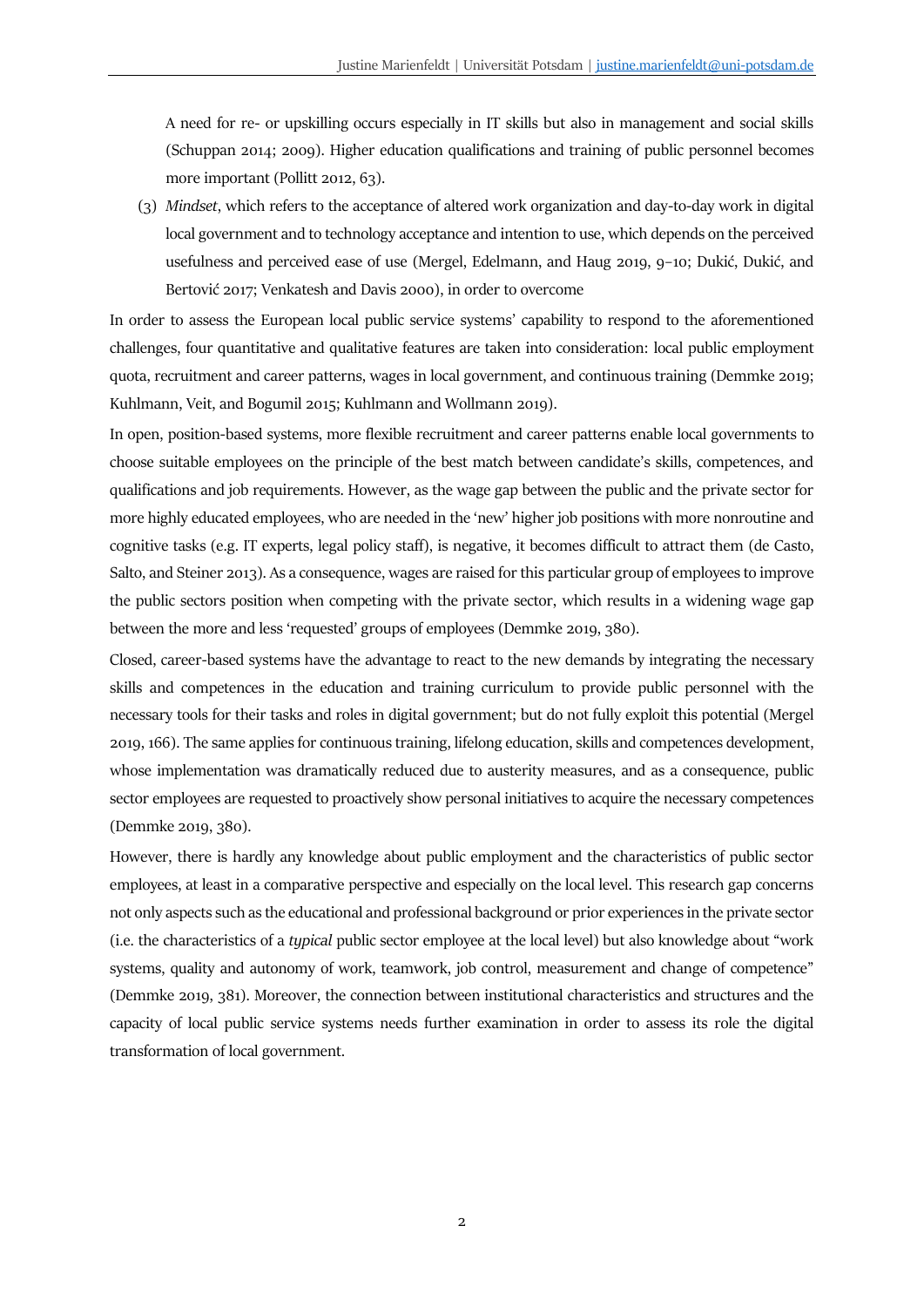A need for re- or upskilling occurs especially in IT skills but also in management and social skills (Schuppan 2014; 2009). Higher education qualifications and training of public personnel becomes more important (Pollitt 2012, 63).

(3) *Mindset*, which refers to the acceptance of altered work organization and day-to-day work in digital local government and to technology acceptance and intention to use, which depends on the perceived usefulness and perceived ease of use (Mergel, Edelmann, and Haug 2019, 9–10; Dukić, Dukić, and Bertović 2017; Venkatesh and Davis 2000), in order to overcome

In order to assess the European local public service systems' capability to respond to the aforementioned challenges, four quantitative and qualitative features are taken into consideration: local public employment quota, recruitment and career patterns, wages in local government, and continuous training (Demmke 2019; Kuhlmann, Veit, and Bogumil 2015; Kuhlmann and Wollmann 2019).

In open, position-based systems, more flexible recruitment and career patterns enable local governments to choose suitable employees on the principle of the best match between candidate's skills, competences, and qualifications and job requirements. However, as the wage gap between the public and the private sector for more highly educated employees, who are needed in the 'new' higher job positions with more nonroutine and cognitive tasks (e.g. IT experts, legal policy staff), is negative, it becomes difficult to attract them (de Casto, Salto, and Steiner 2013). As a consequence, wages are raised for this particular group of employees to improve the public sectors position when competing with the private sector, which results in a widening wage gap between the more and less 'requested' groups of employees (Demmke 2019, 380).

Closed, career-based systems have the advantage to react to the new demands by integrating the necessary skills and competences in the education and training curriculum to provide public personnel with the necessary tools for their tasks and roles in digital government; but do not fully exploit this potential (Mergel 2019, 166). The same applies for continuous training, lifelong education, skills and competences development, whose implementation was dramatically reduced due to austerity measures, and as a consequence, public sector employees are requested to proactively show personal initiatives to acquire the necessary competences (Demmke 2019, 380).

However, there is hardly any knowledge about public employment and the characteristics of public sector employees, at least in a comparative perspective and especially on the local level. This research gap concerns not only aspects such as the educational and professional background or prior experiences in the private sector (i.e. the characteristics of a *typical* public sector employee at the local level) but also knowledge about "work systems, quality and autonomy of work, teamwork, job control, measurement and change of competence" (Demmke 2019, 381). Moreover, the connection between institutional characteristics and structures and the capacity of local public service systems needs further examination in order to assess its role the digital transformation of local government.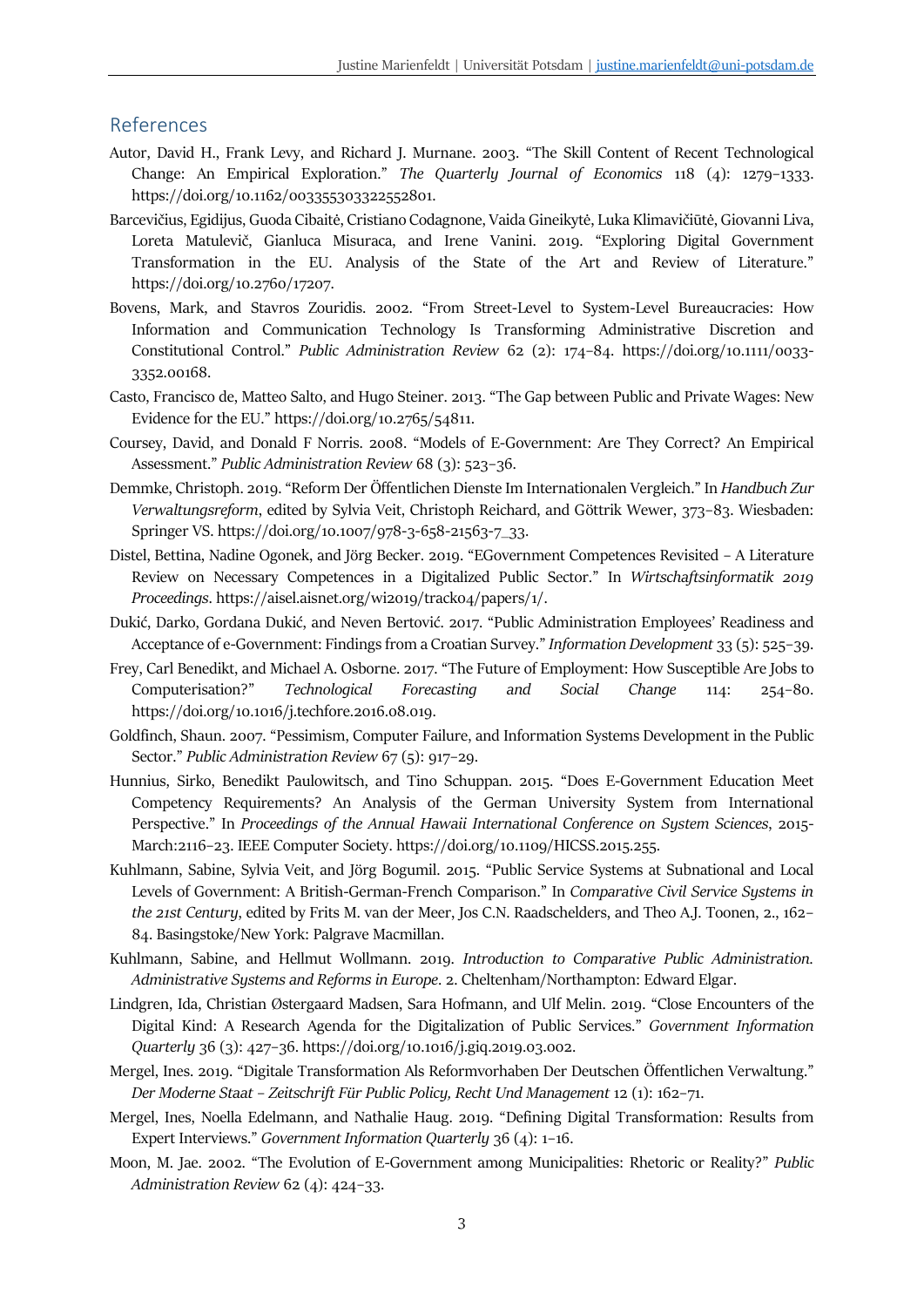## References

- Autor, David H., Frank Levy, and Richard J. Murnane. 2003. "The Skill Content of Recent Technological Change: An Empirical Exploration." *The Quarterly Journal of Economics* 118 (4): 1279–1333. https://doi.org/10.1162/003355303322552801.
- Barcevičius, Egidijus, Guoda Cibaitė, Cristiano Codagnone, Vaida Gineikytė, Luka Klimavičiūtė, Giovanni Liva, Loreta Matulevič, Gianluca Misuraca, and Irene Vanini. 2019. "Exploring Digital Government Transformation in the EU. Analysis of the State of the Art and Review of Literature." https://doi.org/10.2760/17207.
- Bovens, Mark, and Stavros Zouridis. 2002. "From Street-Level to System-Level Bureaucracies: How Information and Communication Technology Is Transforming Administrative Discretion and Constitutional Control." *Public Administration Review* 62 (2): 174–84. https://doi.org/10.1111/0033- 3352.00168.
- Casto, Francisco de, Matteo Salto, and Hugo Steiner. 2013. "The Gap between Public and Private Wages: New Evidence for the EU." https://doi.org/10.2765/54811.
- Coursey, David, and Donald F Norris. 2008. "Models of E-Government: Are They Correct? An Empirical Assessment." *Public Administration Review* 68 (3): 523–36.
- Demmke, Christoph. 2019. "Reform Der Öffentlichen Dienste Im Internationalen Vergleich." In *Handbuch Zur Verwaltungsreform*, edited by Sylvia Veit, Christoph Reichard, and Göttrik Wewer, 373–83. Wiesbaden: Springer VS. https://doi.org/10.1007/978-3-658-21563-7\_33.
- Distel, Bettina, Nadine Ogonek, and Jörg Becker. 2019. "EGovernment Competences Revisited A Literature Review on Necessary Competences in a Digitalized Public Sector." In *Wirtschaftsinformatik 2019 Proceedings*. https://aisel.aisnet.org/wi2019/track04/papers/1/.
- Dukić, Darko, Gordana Dukić, and Neven Bertović. 2017. "Public Administration Employees' Readiness and Acceptance of e-Government: Findings from a Croatian Survey." *Information Development* 33 (5): 525–39.
- Frey, Carl Benedikt, and Michael A. Osborne. 2017. "The Future of Employment: How Susceptible Are Jobs to Computerisation?" *Technological Forecasting and Social Change* 114: 254–80. https://doi.org/10.1016/j.techfore.2016.08.019.
- Goldfinch, Shaun. 2007. "Pessimism, Computer Failure, and Information Systems Development in the Public Sector." *Public Administration Review* 67 (5): 917–29.
- Hunnius, Sirko, Benedikt Paulowitsch, and Tino Schuppan. 2015. "Does E-Government Education Meet Competency Requirements? An Analysis of the German University System from International Perspective." In *Proceedings of the Annual Hawaii International Conference on System Sciences*, 2015- March:2116–23. IEEE Computer Society. https://doi.org/10.1109/HICSS.2015.255.
- Kuhlmann, Sabine, Sylvia Veit, and Jörg Bogumil. 2015. "Public Service Systems at Subnational and Local Levels of Government: A British-German-French Comparison." In *Comparative Civil Service Systems in the 21st Century*, edited by Frits M. van der Meer, Jos C.N. Raadschelders, and Theo A.J. Toonen, 2., 162– 84. Basingstoke/New York: Palgrave Macmillan.
- Kuhlmann, Sabine, and Hellmut Wollmann. 2019. *Introduction to Comparative Public Administration. Administrative Systems and Reforms in Europe*. 2. Cheltenham/Northampton: Edward Elgar.
- Lindgren, Ida, Christian Østergaard Madsen, Sara Hofmann, and Ulf Melin. 2019. "Close Encounters of the Digital Kind: A Research Agenda for the Digitalization of Public Services." *Government Information Quarterly* 36 (3): 427–36. https://doi.org/10.1016/j.giq.2019.03.002.
- Mergel, Ines. 2019. "Digitale Transformation Als Reformvorhaben Der Deutschen Öffentlichen Verwaltung." *Der Moderne Staat – Zeitschrift Für Public Policy, Recht Und Management* 12 (1): 162–71.
- Mergel, Ines, Noella Edelmann, and Nathalie Haug. 2019. "Defining Digital Transformation: Results from Expert Interviews." *Government Information Quarterly* 36 (4): 1–16.
- Moon, M. Jae. 2002. "The Evolution of E-Government among Municipalities: Rhetoric or Reality?" *Public Administration Review* 62 (4): 424–33.